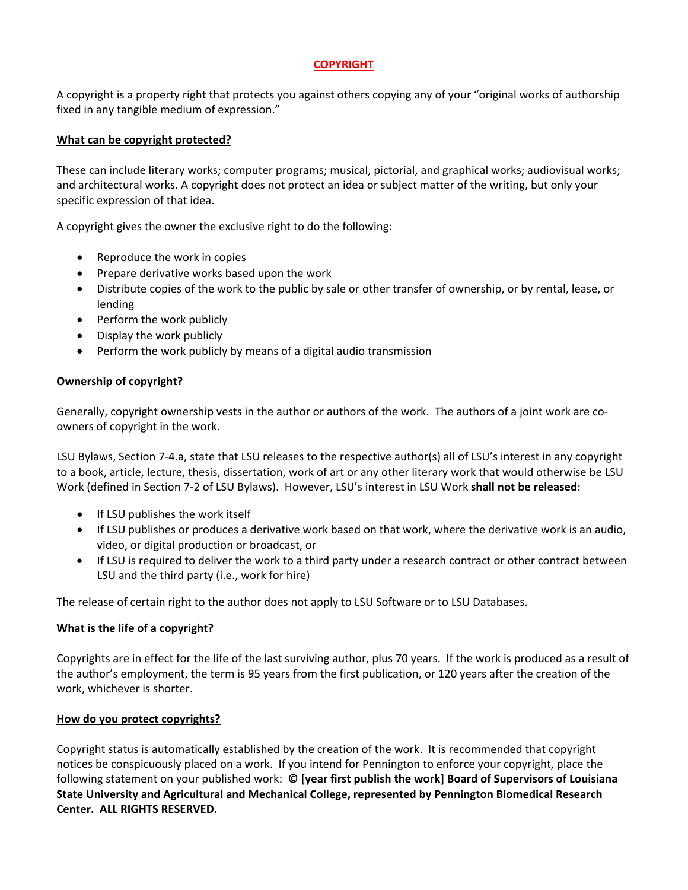# **COPYRIGHT**

A copyright is a property right that protects you against others copying any of your "original works of authorship fixed in any tangible medium of expression."

### **What can be copyright protected?**

These can include literary works; computer programs; musical, pictorial, and graphical works; audiovisual works; and architectural works. A copyright does not protect an idea or subject matter of the writing, but only your specific expression of that idea.

A copyright gives the owner the exclusive right to do the following:

- Reproduce the work in copies
- Prepare derivative works based upon the work
- Distribute copies of the work to the public by sale or other transfer of ownership, or by rental, lease, or lending
- Perform the work publicly
- Display the work publicly
- Perform the work publicly by means of a digital audio transmission

# **Ownership of copyright?**

Generally, copyright ownership vests in the author or authors of the work. The authors of a joint work are coowners of copyright in the work.

LSU Bylaws, Section 7-4.a, state that LSU releases to the respective author(s) all of LSU's interest in any copyright to a book, article, lecture, thesis, dissertation, work of art or any other literary work that would otherwise be LSU Work (defined in Section 7-2 of LSU Bylaws). However, LSU's interest in LSU Work **shall not be released**:

- If LSU publishes the work itself
- If LSU publishes or produces a derivative work based on that work, where the derivative work is an audio, video, or digital production or broadcast, or
- If LSU is required to deliver the work to a third party under a research contract or other contract between LSU and the third party (i.e., work for hire)

The release of certain right to the author does not apply to LSU Software or to LSU Databases.

# **What is the life of a copyright?**

Copyrights are in effect for the life of the last surviving author, plus 70 years. If the work is produced as a result of the author's employment, the term is 95 years from the first publication, or 120 years after the creation of the work, whichever is shorter.

#### **How do you protect copyrights?**

Copyright status is automatically established by the creation of the work. It is recommended that copyright notices be conspicuously placed on a work. If you intend for Pennington to enforce your copyright, place the following statement on your published work: **© [year first publish the work] Board of Supervisors of Louisiana State University and Agricultural and Mechanical College, represented by Pennington Biomedical Research Center. ALL RIGHTS RESERVED.**